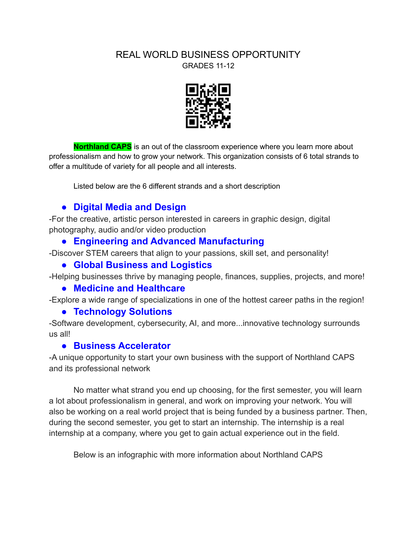#### REAL WORLD BUSINESS OPPORTUNITY GRADES 11-12



**Northland CAPS** is an out of the classroom experience where you learn more about professionalism and how to grow your network. This organization consists of 6 total strands to offer a multitude of variety for all people and all interests.

Listed below are the 6 different strands and a short description

# **● Digital Media and Design**

-For the creative, artistic person interested in careers in graphic design, digital photography, audio and/or video production

# **● Engineering and Advanced Manufacturing**

-Discover STEM careers that align to your passions, skill set, and personality!

## **● Global Business and Logistics**

-Helping businesses thrive by managing people, finances, supplies, projects, and more!

## **● Medicine and Healthcare**

-Explore a wide range of specializations in one of the hottest career paths in the region!

## **● Technology Solutions**

-Software development, cybersecurity, AI, and more...innovative technology surrounds us all!

# **● Business Accelerator**

-A unique opportunity to start your own business with the support of Northland CAPS and its professional network

No matter what strand you end up choosing, for the first semester, you will learn a lot about professionalism in general, and work on improving your network. You will also be working on a real world project that is being funded by a business partner. Then, during the second semester, you get to start an internship. The internship is a real internship at a company, where you get to gain actual experience out in the field.

Below is an infographic with more information about Northland CAPS